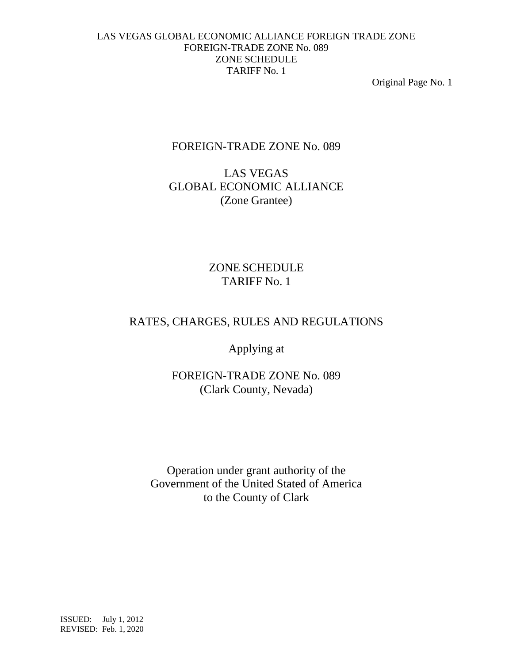Original Page No. 1

# FOREIGN-TRADE ZONE No. 089

# LAS VEGAS GLOBAL ECONOMIC ALLIANCE (Zone Grantee)

# ZONE SCHEDULE TARIFF No. 1

# RATES, CHARGES, RULES AND REGULATIONS

Applying at

FOREIGN-TRADE ZONE No. 089 (Clark County, Nevada)

Operation under grant authority of the Government of the United Stated of America to the County of Clark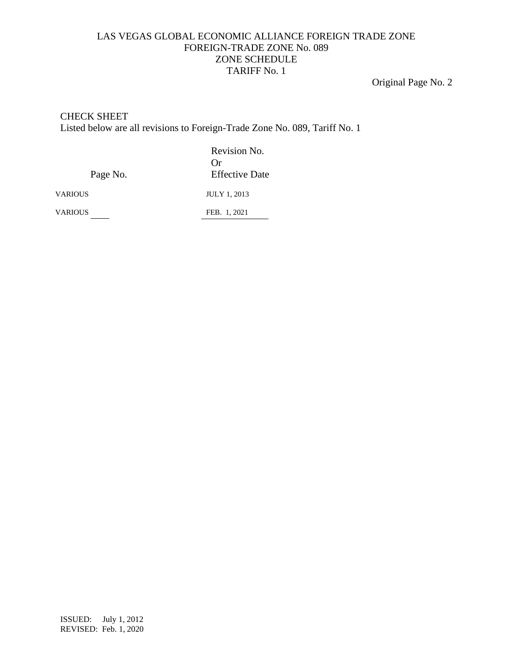Original Page No. 2

#### CHECK SHEET

Listed below are all revisions to Foreign-Trade Zone No. 089, Tariff No. 1

Revision No. Or Page No. **Effective Date** 

VARIOUS JULY 1, 2013

VARIOUS FEB. 1, 2021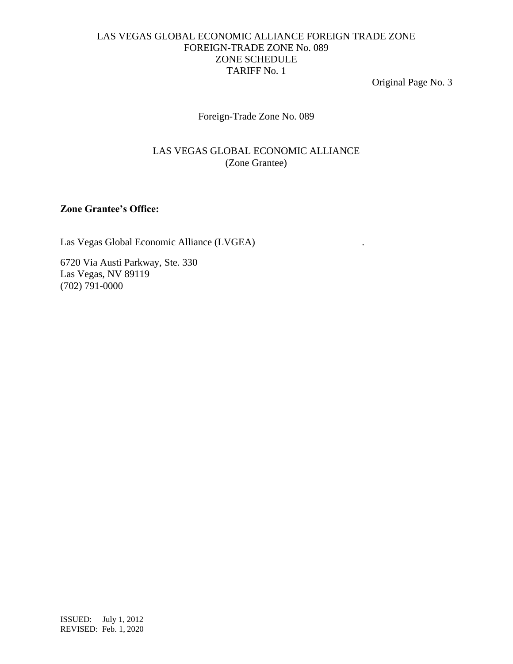Original Page No. 3

Foreign-Trade Zone No. 089

# LAS VEGAS GLOBAL ECONOMIC ALLIANCE (Zone Grantee)

# **Zone Grantee's Office:**

Las Vegas Global Economic Alliance (LVGEA) .

6720 Via Austi Parkway, Ste. 330 Las Vegas, NV 89119 (702) 791-0000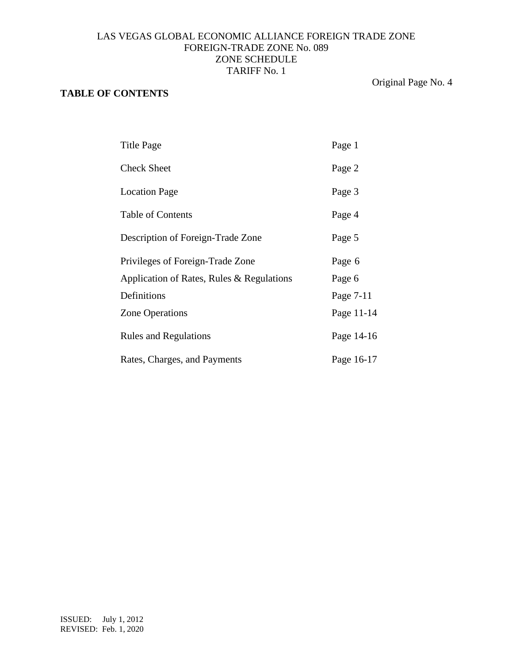# **TABLE OF CONTENTS**

Original Page No. 4

| Title Page                                | Page 1     |
|-------------------------------------------|------------|
| <b>Check Sheet</b>                        | Page 2     |
| <b>Location Page</b>                      | Page 3     |
| <b>Table of Contents</b>                  | Page 4     |
| Description of Foreign-Trade Zone         | Page 5     |
| Privileges of Foreign-Trade Zone          | Page 6     |
| Application of Rates, Rules & Regulations | Page 6     |
| Definitions                               | Page 7-11  |
| <b>Zone Operations</b>                    | Page 11-14 |
| <b>Rules and Regulations</b>              | Page 14-16 |
| Rates, Charges, and Payments              | Page 16-17 |
|                                           |            |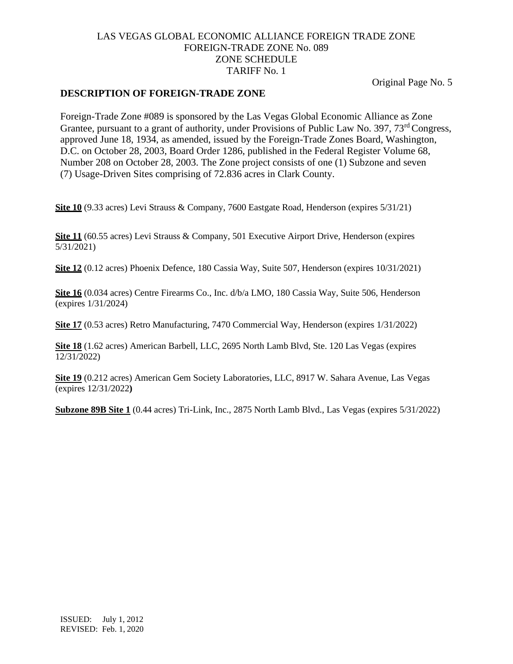Original Page No. 5

#### **DESCRIPTION OF FOREIGN-TRADE ZONE**

Foreign-Trade Zone #089 is sponsored by the Las Vegas Global Economic Alliance as Zone Grantee, pursuant to a grant of authority, under Provisions of Public Law No. 397, 73<sup>rd</sup> Congress, approved June 18, 1934, as amended, issued by the Foreign-Trade Zones Board, Washington, D.C. on October 28, 2003, Board Order 1286, published in the Federal Register Volume 68, Number 208 on October 28, 2003. The Zone project consists of one (1) Subzone and seven (7) Usage-Driven Sites comprising of 72.836 acres in Clark County.

**Site 10** (9.33 acres) Levi Strauss & Company, 7600 Eastgate Road, Henderson (expires 5/31/21)

**Site 11** (60.55 acres) Levi Strauss & Company, 501 Executive Airport Drive, Henderson (expires 5/31/2021)

**Site 12** (0.12 acres) Phoenix Defence, 180 Cassia Way, Suite 507, Henderson (expires 10/31/2021)

**Site 16** (0.034 acres) Centre Firearms Co., Inc. d/b/a LMO, 180 Cassia Way, Suite 506, Henderson (expires 1/31/2024)

**Site 17** (0.53 acres) Retro Manufacturing, 7470 Commercial Way, Henderson (expires 1/31/2022)

**Site 18** (1.62 acres) American Barbell, LLC, 2695 North Lamb Blvd, Ste. 120 Las Vegas (expires 12/31/2022)

**Site 19** (0.212 acres) American Gem Society Laboratories, LLC, 8917 W. Sahara Avenue, Las Vegas (expires 12/31/2022**)**

**Subzone 89B Site 1** (0.44 acres) Tri-Link, Inc., 2875 North Lamb Blvd., Las Vegas (expires 5/31/2022)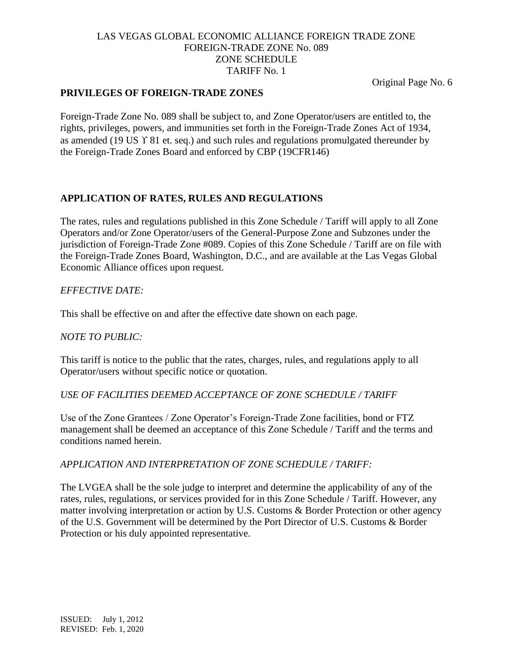Original Page No. 6

# **PRIVILEGES OF FOREIGN-TRADE ZONES**

Foreign-Trade Zone No. 089 shall be subject to, and Zone Operator/users are entitled to, the rights, privileges, powers, and immunities set forth in the Foreign-Trade Zones Act of 1934, as amended (19 US  $\Upsilon$  81 et. seq.) and such rules and regulations promulgated thereunder by the Foreign-Trade Zones Board and enforced by CBP (19CFR146)

# **APPLICATION OF RATES, RULES AND REGULATIONS**

The rates, rules and regulations published in this Zone Schedule / Tariff will apply to all Zone Operators and/or Zone Operator/users of the General-Purpose Zone and Subzones under the jurisdiction of Foreign-Trade Zone #089. Copies of this Zone Schedule / Tariff are on file with the Foreign-Trade Zones Board, Washington, D.C., and are available at the Las Vegas Global Economic Alliance offices upon request.

### *EFFECTIVE DATE:*

This shall be effective on and after the effective date shown on each page.

#### *NOTE TO PUBLIC:*

This tariff is notice to the public that the rates, charges, rules, and regulations apply to all Operator/users without specific notice or quotation.

#### *USE OF FACILITIES DEEMED ACCEPTANCE OF ZONE SCHEDULE / TARIFF*

Use of the Zone Grantees / Zone Operator's Foreign-Trade Zone facilities, bond or FTZ management shall be deemed an acceptance of this Zone Schedule / Tariff and the terms and conditions named herein.

#### *APPLICATION AND INTERPRETATION OF ZONE SCHEDULE / TARIFF:*

The LVGEA shall be the sole judge to interpret and determine the applicability of any of the rates, rules, regulations, or services provided for in this Zone Schedule / Tariff. However, any matter involving interpretation or action by U.S. Customs & Border Protection or other agency of the U.S. Government will be determined by the Port Director of U.S. Customs & Border Protection or his duly appointed representative.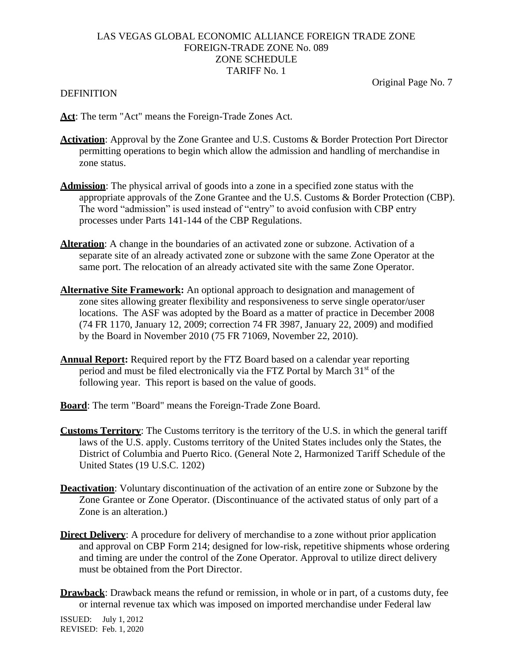#### DEFINITION

Original Page No. 7

- **Act**: The term "Act" means the Foreign-Trade Zones Act.
- **Activation**: Approval by the Zone Grantee and U.S. Customs & Border Protection Port Director permitting operations to begin which allow the admission and handling of merchandise in zone status.
- **Admission**: The physical arrival of goods into a zone in a specified zone status with the appropriate approvals of the Zone Grantee and the U.S. Customs & Border Protection (CBP). The word "admission" is used instead of "entry" to avoid confusion with CBP entry processes under Parts 141-144 of the CBP Regulations.
- **Alteration**: A change in the boundaries of an activated zone or subzone. Activation of a separate site of an already activated zone or subzone with the same Zone Operator at the same port. The relocation of an already activated site with the same Zone Operator.
- **Alternative Site Framework:** An optional approach to designation and management of zone sites allowing greater flexibility and responsiveness to serve single operator/user locations. The ASF was adopted by the Board as a matter of practice in December 2008 (74 FR 1170, January 12, 2009; correction 74 FR 3987, January 22, 2009) and modified by the Board in November 2010 (75 FR 71069, November 22, 2010).
- **Annual Report:** Required report by the FTZ Board based on a calendar year reporting period and must be filed electronically via the FTZ Portal by March 31<sup>st</sup> of the following year. This report is based on the value of goods.
- **Board**: The term "Board" means the Foreign-Trade Zone Board.
- **Customs Territory**: The Customs territory is the territory of the U.S. in which the general tariff laws of the U.S. apply. Customs territory of the United States includes only the States, the District of Columbia and Puerto Rico. (General Note 2, Harmonized Tariff Schedule of the United States (19 U.S.C. 1202)
- **Deactivation**: Voluntary discontinuation of the activation of an entire zone or Subzone by the Zone Grantee or Zone Operator. (Discontinuance of the activated status of only part of a Zone is an alteration.)
- **Direct Delivery:** A procedure for delivery of merchandise to a zone without prior application and approval on CBP Form 214; designed for low-risk, repetitive shipments whose ordering and timing are under the control of the Zone Operator. Approval to utilize direct delivery must be obtained from the Port Director.
- **Drawback**: Drawback means the refund or remission, in whole or in part, of a customs duty, fee or internal revenue tax which was imposed on imported merchandise under Federal law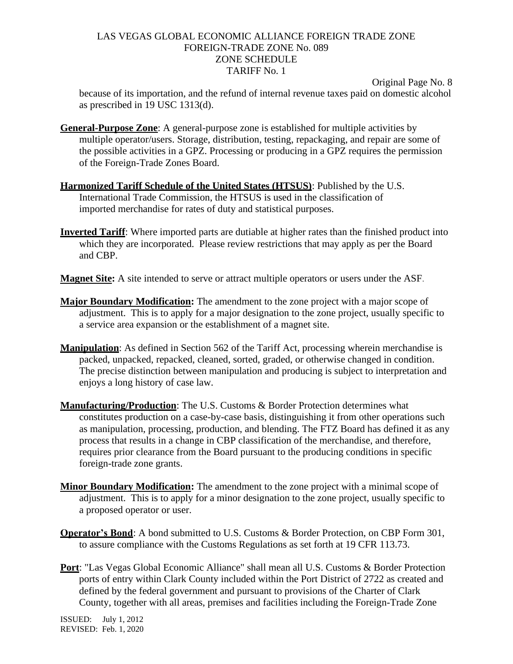Original Page No. 8

because of its importation, and the refund of internal revenue taxes paid on domestic alcohol as prescribed in 19 USC 1313(d).

- **General-Purpose Zone**: A general-purpose zone is established for multiple activities by multiple operator/users. Storage, distribution, testing, repackaging, and repair are some of the possible activities in a GPZ. Processing or producing in a GPZ requires the permission of the Foreign-Trade Zones Board.
- **Harmonized Tariff Schedule of the United States (HTSUS)**: Published by the U.S. International Trade Commission, the HTSUS is used in the classification of imported merchandise for rates of duty and statistical purposes.
- **Inverted Tariff**: Where imported parts are dutiable at higher rates than the finished product into which they are incorporated. Please review restrictions that may apply as per the Board and CBP.
- **Magnet Site:** A site intended to serve or attract multiple operators or users under the ASF.
- **Major Boundary Modification:** The amendment to the zone project with a major scope of adjustment. This is to apply for a major designation to the zone project, usually specific to a service area expansion or the establishment of a magnet site.
- **Manipulation**: As defined in Section 562 of the Tariff Act, processing wherein merchandise is packed, unpacked, repacked, cleaned, sorted, graded, or otherwise changed in condition. The precise distinction between manipulation and producing is subject to interpretation and enjoys a long history of case law.
- **Manufacturing/Production**: The U.S. Customs & Border Protection determines what constitutes production on a case-by-case basis, distinguishing it from other operations such as manipulation, processing, production, and blending. The FTZ Board has defined it as any process that results in a change in CBP classification of the merchandise, and therefore, requires prior clearance from the Board pursuant to the producing conditions in specific foreign-trade zone grants.
- **Minor Boundary Modification:** The amendment to the zone project with a minimal scope of adjustment. This is to apply for a minor designation to the zone project, usually specific to a proposed operator or user.
- **Operator's Bond**: A bond submitted to U.S. Customs & Border Protection, on CBP Form 301, to assure compliance with the Customs Regulations as set forth at 19 CFR 113.73.
- **Port**: "Las Vegas Global Economic Alliance" shall mean all U.S. Customs & Border Protection ports of entry within Clark County included within the Port District of 2722 as created and defined by the federal government and pursuant to provisions of the Charter of Clark County, together with all areas, premises and facilities including the Foreign-Trade Zone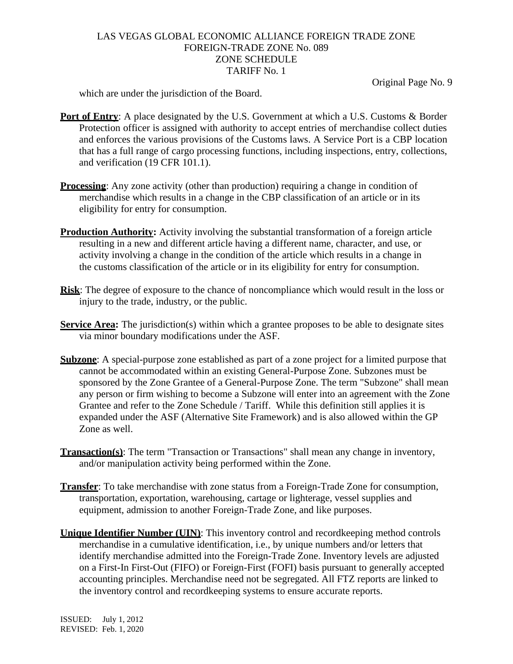Original Page No. 9

which are under the jurisdiction of the Board.

- **Port of Entry:** A place designated by the U.S. Government at which a U.S. Customs & Border Protection officer is assigned with authority to accept entries of merchandise collect duties and enforces the various provisions of the Customs laws. A Service Port is a CBP location that has a full range of cargo processing functions, including inspections, entry, collections, and verification (19 CFR 101.1).
- **Processing**: Any zone activity (other than production) requiring a change in condition of merchandise which results in a change in the CBP classification of an article or in its eligibility for entry for consumption.
- **Production Authority:** Activity involving the substantial transformation of a foreign article resulting in a new and different article having a different name, character, and use, or activity involving a change in the condition of the article which results in a change in the customs classification of the article or in its eligibility for entry for consumption.
- **Risk**: The degree of exposure to the chance of noncompliance which would result in the loss or injury to the trade, industry, or the public.
- **Service Area:** The jurisdiction(s) within which a grantee proposes to be able to designate sites via minor boundary modifications under the ASF.
- **Subzone**: A special-purpose zone established as part of a zone project for a limited purpose that cannot be accommodated within an existing General-Purpose Zone. Subzones must be sponsored by the Zone Grantee of a General-Purpose Zone. The term "Subzone" shall mean any person or firm wishing to become a Subzone will enter into an agreement with the Zone Grantee and refer to the Zone Schedule / Tariff. While this definition still applies it is expanded under the ASF (Alternative Site Framework) and is also allowed within the GP Zone as well.
- **Transaction(s)**: The term "Transaction or Transactions" shall mean any change in inventory, and/or manipulation activity being performed within the Zone.
- **Transfer**: To take merchandise with zone status from a Foreign-Trade Zone for consumption, transportation, exportation, warehousing, cartage or lighterage, vessel supplies and equipment, admission to another Foreign-Trade Zone, and like purposes.
- **Unique Identifier Number (UIN)**: This inventory control and recordkeeping method controls merchandise in a cumulative identification, i.e., by unique numbers and/or letters that identify merchandise admitted into the Foreign-Trade Zone. Inventory levels are adjusted on a First-In First-Out (FIFO) or Foreign-First (FOFI) basis pursuant to generally accepted accounting principles. Merchandise need not be segregated. All FTZ reports are linked to the inventory control and recordkeeping systems to ensure accurate reports.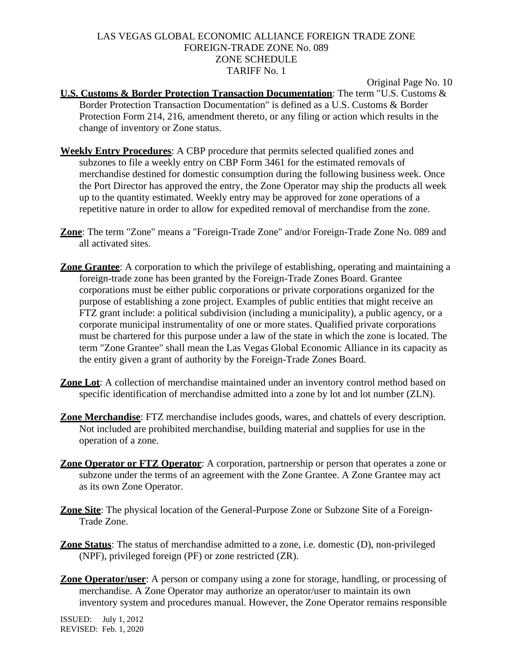Original Page No. 10

- **U.S. Customs & Border Protection Transaction Documentation**: The term "U.S. Customs & Border Protection Transaction Documentation" is defined as a U.S. Customs & Border Protection Form 214, 216, amendment thereto, or any filing or action which results in the change of inventory or Zone status.
- **Weekly Entry Procedures**: A CBP procedure that permits selected qualified zones and subzones to file a weekly entry on CBP Form 3461 for the estimated removals of merchandise destined for domestic consumption during the following business week. Once the Port Director has approved the entry, the Zone Operator may ship the products all week up to the quantity estimated. Weekly entry may be approved for zone operations of a repetitive nature in order to allow for expedited removal of merchandise from the zone.
- **Zone**: The term "Zone" means a "Foreign-Trade Zone" and/or Foreign-Trade Zone No. 089 and all activated sites.
- **Zone Grantee**: A corporation to which the privilege of establishing, operating and maintaining a foreign-trade zone has been granted by the Foreign-Trade Zones Board. Grantee corporations must be either public corporations or private corporations organized for the purpose of establishing a zone project. Examples of public entities that might receive an FTZ grant include: a political subdivision (including a municipality), a public agency, or a corporate municipal instrumentality of one or more states. Qualified private corporations must be chartered for this purpose under a law of the state in which the zone is located. The term "Zone Grantee" shall mean the Las Vegas Global Economic Alliance in its capacity as the entity given a grant of authority by the Foreign-Trade Zones Board.
- **Zone Lot**: A collection of merchandise maintained under an inventory control method based on specific identification of merchandise admitted into a zone by lot and lot number (ZLN).
- **Zone Merchandise**: FTZ merchandise includes goods, wares, and chattels of every description. Not included are prohibited merchandise, building material and supplies for use in the operation of a zone.
- **Zone Operator or FTZ Operator**: A corporation, partnership or person that operates a zone or subzone under the terms of an agreement with the Zone Grantee. A Zone Grantee may act as its own Zone Operator.
- **Zone Site**: The physical location of the General-Purpose Zone or Subzone Site of a Foreign-Trade Zone.
- **Zone Status**: The status of merchandise admitted to a zone, i.e. domestic (D), non-privileged (NPF), privileged foreign (PF) or zone restricted (ZR).
- **Zone Operator/user**: A person or company using a zone for storage, handling, or processing of merchandise. A Zone Operator may authorize an operator/user to maintain its own inventory system and procedures manual. However, the Zone Operator remains responsible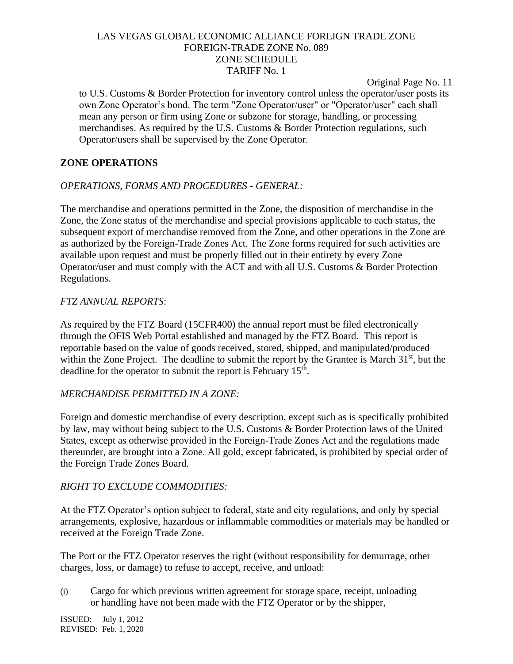Original Page No. 11

to U.S. Customs & Border Protection for inventory control unless the operator/user posts its own Zone Operator's bond. The term "Zone Operator/user" or "Operator/user" each shall mean any person or firm using Zone or subzone for storage, handling, or processing merchandises. As required by the U.S. Customs & Border Protection regulations, such Operator/users shall be supervised by the Zone Operator.

### **ZONE OPERATIONS**

### *OPERATIONS, FORMS AND PROCEDURES - GENERAL:*

The merchandise and operations permitted in the Zone, the disposition of merchandise in the Zone, the Zone status of the merchandise and special provisions applicable to each status, the subsequent export of merchandise removed from the Zone, and other operations in the Zone are as authorized by the Foreign-Trade Zones Act. The Zone forms required for such activities are available upon request and must be properly filled out in their entirety by every Zone Operator/user and must comply with the ACT and with all U.S. Customs & Border Protection Regulations.

#### *FTZ ANNUAL REPORTS*:

As required by the FTZ Board (15CFR400) the annual report must be filed electronically through the OFIS Web Portal established and managed by the FTZ Board. This report is reportable based on the value of goods received, stored, shipped, and manipulated/produced within the Zone Project. The deadline to submit the report by the Grantee is March  $31<sup>st</sup>$ , but the deadline for the operator to submit the report is February 15<sup>th</sup>.

#### *MERCHANDISE PERMITTED IN A ZONE:*

Foreign and domestic merchandise of every description, except such as is specifically prohibited by law, may without being subject to the U.S. Customs & Border Protection laws of the United States, except as otherwise provided in the Foreign-Trade Zones Act and the regulations made thereunder, are brought into a Zone. All gold, except fabricated, is prohibited by special order of the Foreign Trade Zones Board.

# *RIGHT TO EXCLUDE COMMODITIES:*

At the FTZ Operator's option subject to federal, state and city regulations, and only by special arrangements, explosive, hazardous or inflammable commodities or materials may be handled or received at the Foreign Trade Zone.

The Port or the FTZ Operator reserves the right (without responsibility for demurrage, other charges, loss, or damage) to refuse to accept, receive, and unload:

(i) Cargo for which previous written agreement for storage space, receipt, unloading or handling have not been made with the FTZ Operator or by the shipper,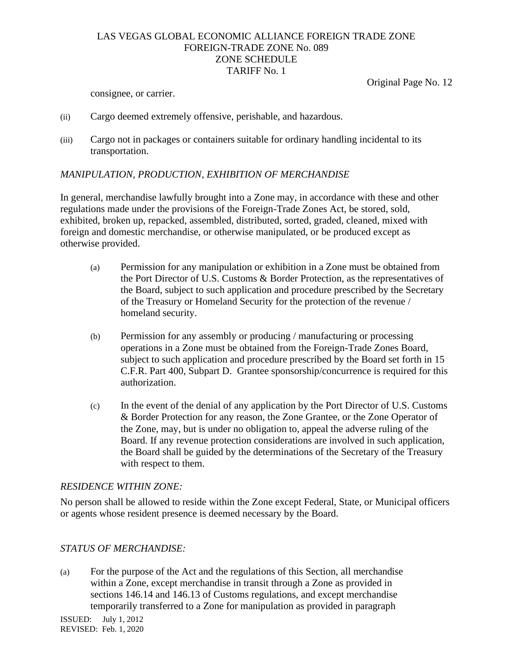Original Page No. 12

consignee, or carrier.

- (ii) Cargo deemed extremely offensive, perishable, and hazardous.
- (iii) Cargo not in packages or containers suitable for ordinary handling incidental to its transportation.

# *MANIPULATION, PRODUCTION, EXHIBITION OF MERCHANDISE*

In general, merchandise lawfully brought into a Zone may, in accordance with these and other regulations made under the provisions of the Foreign-Trade Zones Act, be stored, sold, exhibited, broken up, repacked, assembled, distributed, sorted, graded, cleaned, mixed with foreign and domestic merchandise, or otherwise manipulated, or be produced except as otherwise provided.

- (a) Permission for any manipulation or exhibition in a Zone must be obtained from the Port Director of U.S. Customs & Border Protection, as the representatives of the Board, subject to such application and procedure prescribed by the Secretary of the Treasury or Homeland Security for the protection of the revenue / homeland security.
- (b) Permission for any assembly or producing / manufacturing or processing operations in a Zone must be obtained from the Foreign-Trade Zones Board, subject to such application and procedure prescribed by the Board set forth in 15 C.F.R. Part 400, Subpart D. Grantee sponsorship/concurrence is required for this authorization.
- (c) In the event of the denial of any application by the Port Director of U.S. Customs & Border Protection for any reason, the Zone Grantee, or the Zone Operator of the Zone, may, but is under no obligation to, appeal the adverse ruling of the Board. If any revenue protection considerations are involved in such application, the Board shall be guided by the determinations of the Secretary of the Treasury with respect to them.

# *RESIDENCE WITHIN ZONE:*

No person shall be allowed to reside within the Zone except Federal, State, or Municipal officers or agents whose resident presence is deemed necessary by the Board.

# *STATUS OF MERCHANDISE:*

(a) For the purpose of the Act and the regulations of this Section, all merchandise within a Zone, except merchandise in transit through a Zone as provided in sections 146.14 and 146.13 of Customs regulations, and except merchandise temporarily transferred to a Zone for manipulation as provided in paragraph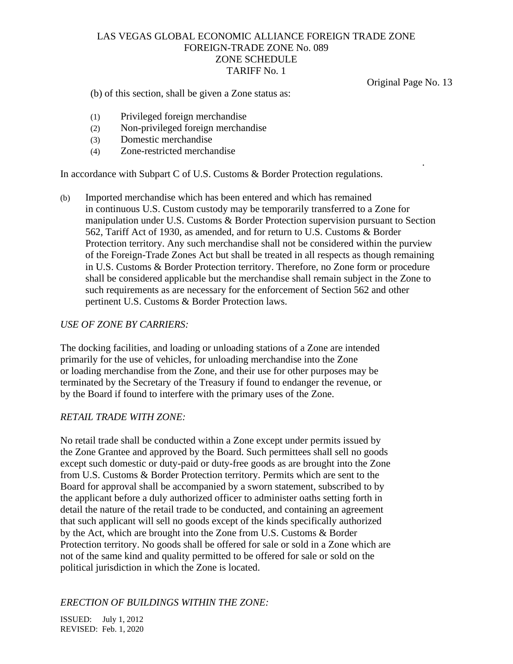Original Page No. 13

.

(b) of this section, shall be given a Zone status as:

- (1) Privileged foreign merchandise
- (2) Non-privileged foreign merchandise
- (3) Domestic merchandise
- (4) Zone-restricted merchandise

In accordance with Subpart C of U.S. Customs & Border Protection regulations.

(b) Imported merchandise which has been entered and which has remained in continuous U.S. Custom custody may be temporarily transferred to a Zone for manipulation under U.S. Customs & Border Protection supervision pursuant to Section 562, Tariff Act of 1930, as amended, and for return to U.S. Customs & Border Protection territory. Any such merchandise shall not be considered within the purview of the Foreign-Trade Zones Act but shall be treated in all respects as though remaining in U.S. Customs & Border Protection territory. Therefore, no Zone form or procedure shall be considered applicable but the merchandise shall remain subject in the Zone to such requirements as are necessary for the enforcement of Section 562 and other pertinent U.S. Customs & Border Protection laws.

#### *USE OF ZONE BY CARRIERS:*

The docking facilities, and loading or unloading stations of a Zone are intended primarily for the use of vehicles, for unloading merchandise into the Zone or loading merchandise from the Zone, and their use for other purposes may be terminated by the Secretary of the Treasury if found to endanger the revenue, or by the Board if found to interfere with the primary uses of the Zone.

#### *RETAIL TRADE WITH ZONE:*

No retail trade shall be conducted within a Zone except under permits issued by the Zone Grantee and approved by the Board. Such permittees shall sell no goods except such domestic or duty-paid or duty-free goods as are brought into the Zone from U.S. Customs & Border Protection territory. Permits which are sent to the Board for approval shall be accompanied by a sworn statement, subscribed to by the applicant before a duly authorized officer to administer oaths setting forth in detail the nature of the retail trade to be conducted, and containing an agreement that such applicant will sell no goods except of the kinds specifically authorized by the Act, which are brought into the Zone from U.S. Customs & Border Protection territory. No goods shall be offered for sale or sold in a Zone which are not of the same kind and quality permitted to be offered for sale or sold on the political jurisdiction in which the Zone is located.

#### *ERECTION OF BUILDINGS WITHIN THE ZONE:*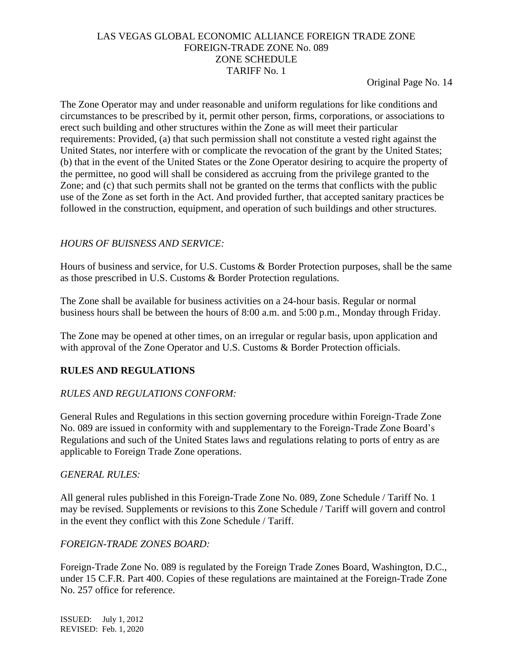Original Page No. 14

The Zone Operator may and under reasonable and uniform regulations for like conditions and circumstances to be prescribed by it, permit other person, firms, corporations, or associations to erect such building and other structures within the Zone as will meet their particular requirements: Provided, (a) that such permission shall not constitute a vested right against the United States, nor interfere with or complicate the revocation of the grant by the United States; (b) that in the event of the United States or the Zone Operator desiring to acquire the property of the permittee, no good will shall be considered as accruing from the privilege granted to the Zone; and (c) that such permits shall not be granted on the terms that conflicts with the public use of the Zone as set forth in the Act. And provided further, that accepted sanitary practices be followed in the construction, equipment, and operation of such buildings and other structures.

### *HOURS OF BUISNESS AND SERVICE:*

Hours of business and service, for U.S. Customs & Border Protection purposes, shall be the same as those prescribed in U.S. Customs & Border Protection regulations.

The Zone shall be available for business activities on a 24-hour basis. Regular or normal business hours shall be between the hours of 8:00 a.m. and 5:00 p.m., Monday through Friday.

The Zone may be opened at other times, on an irregular or regular basis, upon application and with approval of the Zone Operator and U.S. Customs & Border Protection officials.

# **RULES AND REGULATIONS**

# *RULES AND REGULATIONS CONFORM:*

General Rules and Regulations in this section governing procedure within Foreign-Trade Zone No. 089 are issued in conformity with and supplementary to the Foreign-Trade Zone Board's Regulations and such of the United States laws and regulations relating to ports of entry as are applicable to Foreign Trade Zone operations.

#### *GENERAL RULES:*

All general rules published in this Foreign-Trade Zone No. 089, Zone Schedule / Tariff No. 1 may be revised. Supplements or revisions to this Zone Schedule / Tariff will govern and control in the event they conflict with this Zone Schedule / Tariff.

# *FOREIGN-TRADE ZONES BOARD:*

Foreign-Trade Zone No. 089 is regulated by the Foreign Trade Zones Board, Washington, D.C., under 15 C.F.R. Part 400. Copies of these regulations are maintained at the Foreign-Trade Zone No. 257 office for reference.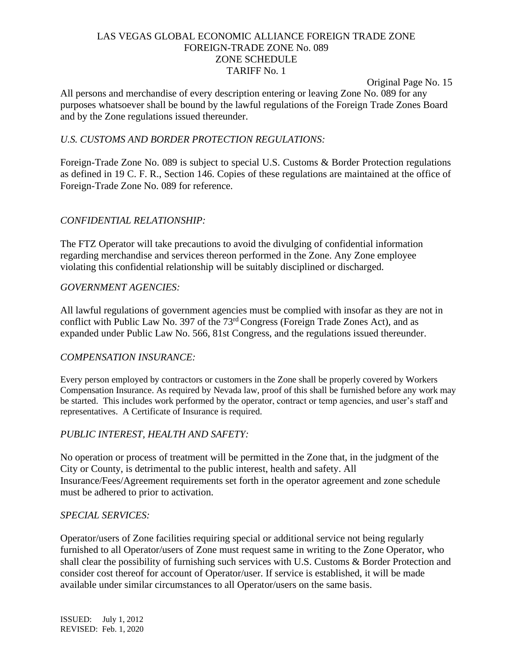Original Page No. 15

All persons and merchandise of every description entering or leaving Zone No. 089 for any purposes whatsoever shall be bound by the lawful regulations of the Foreign Trade Zones Board and by the Zone regulations issued thereunder.

#### *U.S. CUSTOMS AND BORDER PROTECTION REGULATIONS:*

Foreign-Trade Zone No. 089 is subject to special U.S. Customs & Border Protection regulations as defined in 19 C. F. R., Section 146. Copies of these regulations are maintained at the office of Foreign-Trade Zone No. 089 for reference.

#### *CONFIDENTIAL RELATIONSHIP:*

The FTZ Operator will take precautions to avoid the divulging of confidential information regarding merchandise and services thereon performed in the Zone. Any Zone employee violating this confidential relationship will be suitably disciplined or discharged.

# *GOVERNMENT AGENCIES:*

All lawful regulations of government agencies must be complied with insofar as they are not in conflict with Public Law No. 397 of the 73rd Congress (Foreign Trade Zones Act), and as expanded under Public Law No. 566, 81st Congress, and the regulations issued thereunder.

# *COMPENSATION INSURANCE:*

Every person employed by contractors or customers in the Zone shall be properly covered by Workers Compensation Insurance. As required by Nevada law, proof of this shall be furnished before any work may be started. This includes work performed by the operator, contract or temp agencies, and user's staff and representatives. A Certificate of Insurance is required.

#### *PUBLIC INTEREST, HEALTH AND SAFETY:*

No operation or process of treatment will be permitted in the Zone that, in the judgment of the City or County, is detrimental to the public interest, health and safety. All Insurance/Fees/Agreement requirements set forth in the operator agreement and zone schedule must be adhered to prior to activation.

#### *SPECIAL SERVICES:*

Operator/users of Zone facilities requiring special or additional service not being regularly furnished to all Operator/users of Zone must request same in writing to the Zone Operator, who shall clear the possibility of furnishing such services with U.S. Customs & Border Protection and consider cost thereof for account of Operator/user. If service is established, it will be made available under similar circumstances to all Operator/users on the same basis.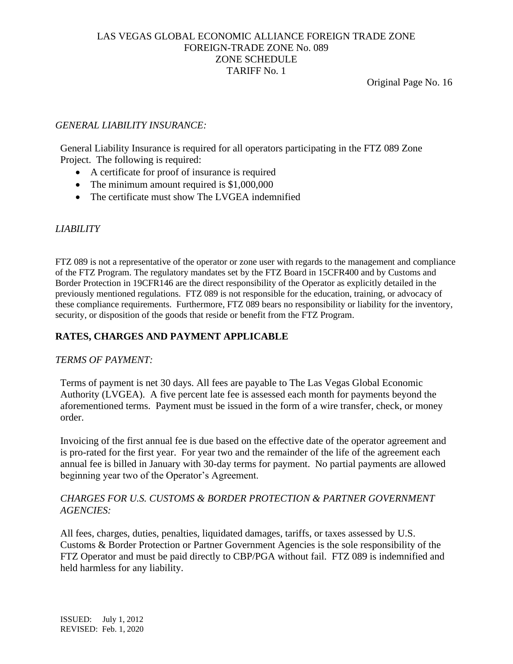Original Page No. 16

### *GENERAL LIABILITY INSURANCE:*

General Liability Insurance is required for all operators participating in the FTZ 089 Zone Project. The following is required:

- A certificate for proof of insurance is required
- The minimum amount required is \$1,000,000
- The certificate must show The LVGEA indemnified

# *LIABILITY*

FTZ 089 is not a representative of the operator or zone user with regards to the management and compliance of the FTZ Program. The regulatory mandates set by the FTZ Board in 15CFR400 and by Customs and Border Protection in 19CFR146 are the direct responsibility of the Operator as explicitly detailed in the previously mentioned regulations. FTZ 089 is not responsible for the education, training, or advocacy of these compliance requirements. Furthermore, FTZ 089 bears no responsibility or liability for the inventory, security, or disposition of the goods that reside or benefit from the FTZ Program.

### **RATES, CHARGES AND PAYMENT APPLICABLE**

#### *TERMS OF PAYMENT:*

Terms of payment is net 30 days. All fees are payable to The Las Vegas Global Economic Authority (LVGEA). A five percent late fee is assessed each month for payments beyond the aforementioned terms. Payment must be issued in the form of a wire transfer, check, or money order.

Invoicing of the first annual fee is due based on the effective date of the operator agreement and is pro-rated for the first year. For year two and the remainder of the life of the agreement each annual fee is billed in January with 30-day terms for payment. No partial payments are allowed beginning year two of the Operator's Agreement.

### *CHARGES FOR U.S. CUSTOMS & BORDER PROTECTION & PARTNER GOVERNMENT AGENCIES:*

All fees, charges, duties, penalties, liquidated damages, tariffs, or taxes assessed by U.S. Customs & Border Protection or Partner Government Agencies is the sole responsibility of the FTZ Operator and must be paid directly to CBP/PGA without fail. FTZ 089 is indemnified and held harmless for any liability.